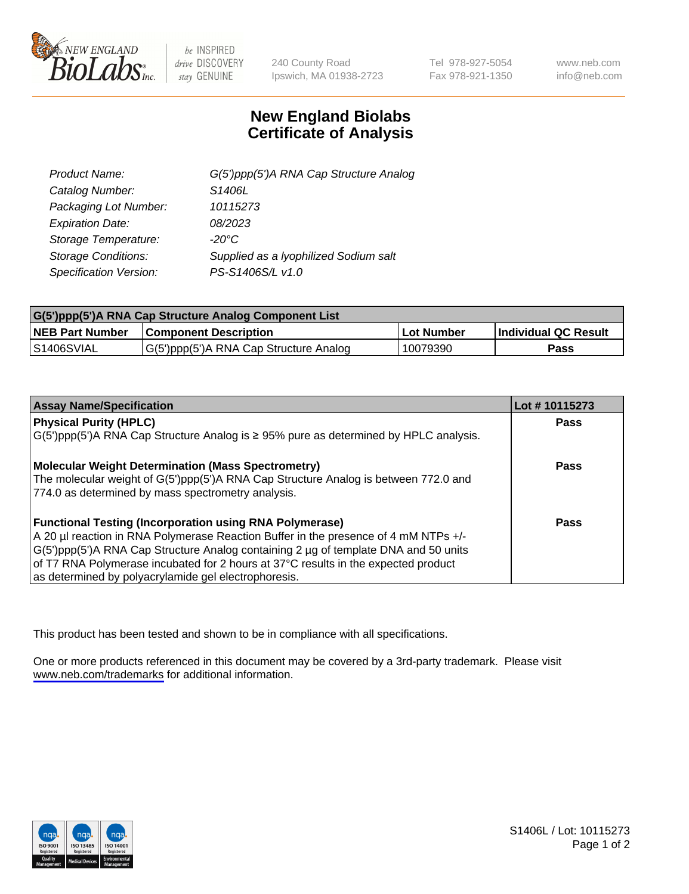

be INSPIRED drive DISCOVERY stay GENUINE

240 County Road Ipswich, MA 01938-2723 Tel 978-927-5054 Fax 978-921-1350

www.neb.com info@neb.com

## **New England Biolabs Certificate of Analysis**

| G(5')ppp(5')A RNA Cap Structure Analog |
|----------------------------------------|
| S1406L                                 |
| 10115273                               |
| 08/2023                                |
| $-20^{\circ}$ C                        |
| Supplied as a Iyophilized Sodium salt  |
| PS-S1406S/L v1.0                       |
|                                        |

| G(5')ppp(5')A RNA Cap Structure Analog Component List |                                        |            |                             |  |
|-------------------------------------------------------|----------------------------------------|------------|-----------------------------|--|
| <b>NEB Part Number</b>                                | <b>Component Description</b>           | Lot Number | <b>Individual QC Result</b> |  |
| <b>S1406SVIAL</b>                                     | G(5')ppp(5')A RNA Cap Structure Analog | 10079390   | Pass                        |  |

| <b>Assay Name/Specification</b>                                                              | Lot #10115273 |
|----------------------------------------------------------------------------------------------|---------------|
| <b>Physical Purity (HPLC)</b>                                                                | <b>Pass</b>   |
| $G(5')$ ppp(5')A RNA Cap Structure Analog is $\geq$ 95% pure as determined by HPLC analysis. |               |
| <b>Molecular Weight Determination (Mass Spectrometry)</b>                                    | Pass          |
| The molecular weight of G(5')ppp(5')A RNA Cap Structure Analog is between 772.0 and          |               |
| 774.0 as determined by mass spectrometry analysis.                                           |               |
| <b>Functional Testing (Incorporation using RNA Polymerase)</b>                               | Pass          |
| A 20 µl reaction in RNA Polymerase Reaction Buffer in the presence of 4 mM NTPs +/-          |               |
| G(5')ppp(5')A RNA Cap Structure Analog containing 2 µg of template DNA and 50 units          |               |
| of T7 RNA Polymerase incubated for 2 hours at 37°C results in the expected product           |               |
| as determined by polyacrylamide gel electrophoresis.                                         |               |

This product has been tested and shown to be in compliance with all specifications.

One or more products referenced in this document may be covered by a 3rd-party trademark. Please visit <www.neb.com/trademarks>for additional information.